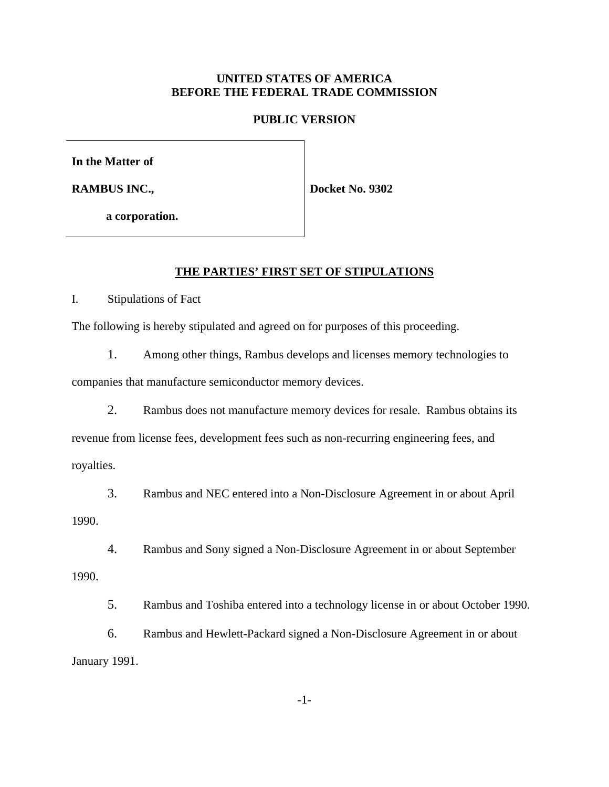### **UNITED STATES OF AMERICA BEFORE THE FEDERAL TRADE COMMISSION**

#### **PUBLIC VERSION**

**In the Matter of**

**RAMBUS INC.,**

**Docket No. 9302**

**a corporation.**

#### **THE PARTIES' FIRST SET OF STIPULATIONS**

I. Stipulations of Fact

The following is hereby stipulated and agreed on for purposes of this proceeding.

1. Among other things, Rambus develops and licenses memory technologies to

companies that manufacture semiconductor memory devices.

2. Rambus does not manufacture memory devices for resale. Rambus obtains its revenue from license fees, development fees such as non-recurring engineering fees, and royalties.

3. Rambus and NEC entered into a Non-Disclosure Agreement in or about April 1990.

4. Rambus and Sony signed a Non-Disclosure Agreement in or about September 1990.

5. Rambus and Toshiba entered into a technology license in or about October 1990.

6. Rambus and Hewlett-Packard signed a Non-Disclosure Agreement in or about January 1991.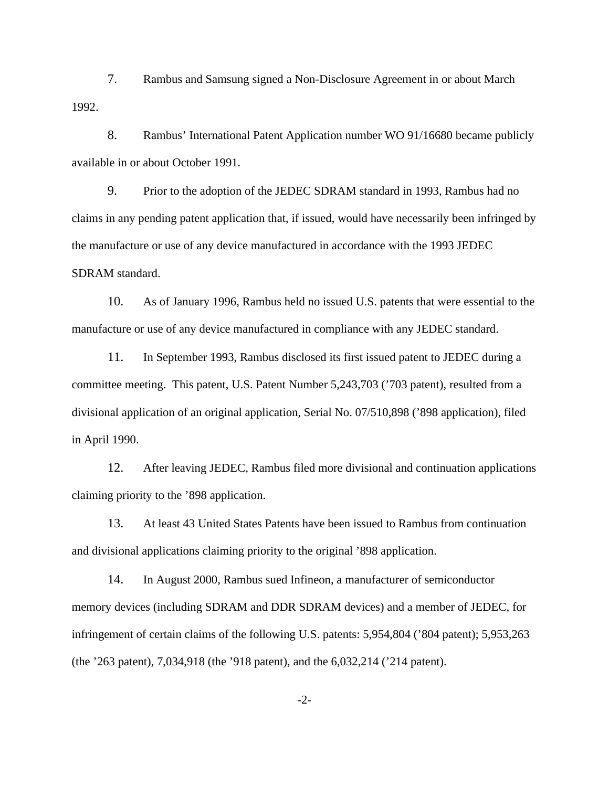7. Rambus and Samsung signed a Non-Disclosure Agreement in or about March 1992.

8. Rambus' International Patent Application number WO 91/16680 became publicly available in or about October 1991.

9. Prior to the adoption of the JEDEC SDRAM standard in 1993, Rambus had no claims in any pending patent application that, if issued, would have necessarily been infringed by the manufacture or use of any device manufactured in accordance with the 1993 JEDEC SDRAM standard.

10. As of January 1996, Rambus held no issued U.S. patents that were essential to the manufacture or use of any device manufactured in compliance with any JEDEC standard.

11. In September 1993, Rambus disclosed its first issued patent to JEDEC during a committee meeting. This patent, U.S. Patent Number 5,243,703 ('703 patent), resulted from a divisional application of an original application, Serial No. 07/510,898 ('898 application), filed in April 1990.

12. After leaving JEDEC, Rambus filed more divisional and continuation applications claiming priority to the '898 application.

13. At least 43 United States Patents have been issued to Rambus from continuation and divisional applications claiming priority to the original '898 application.

14. In August 2000, Rambus sued Infineon, a manufacturer of semiconductor memory devices (including SDRAM and DDR SDRAM devices) and a member of JEDEC, for infringement of certain claims of the following U.S. patents: 5,954,804 ('804 patent); 5,953,263 (the '263 patent), 7,034,918 (the '918 patent), and the 6,032,214 ('214 patent).

-2-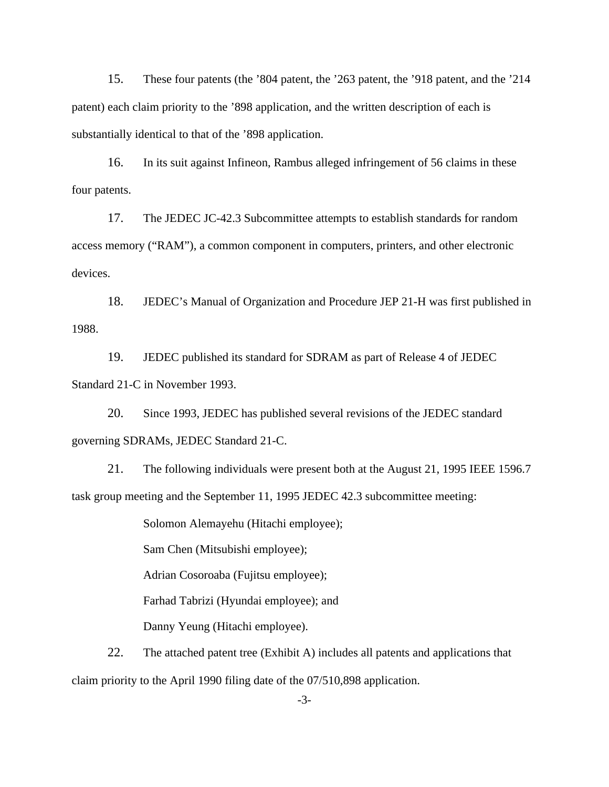15. These four patents (the '804 patent, the '263 patent, the '918 patent, and the '214 patent) each claim priority to the '898 application, and the written description of each is substantially identical to that of the '898 application.

16. In its suit against Infineon, Rambus alleged infringement of 56 claims in these four patents.

17. The JEDEC JC-42.3 Subcommittee attempts to establish standards for random access memory ("RAM"), a common component in computers, printers, and other electronic devices.

18. JEDEC's Manual of Organization and Procedure JEP 21-H was first published in 1988.

19. JEDEC published its standard for SDRAM as part of Release 4 of JEDEC Standard 21-C in November 1993.

20. Since 1993, JEDEC has published several revisions of the JEDEC standard governing SDRAMs, JEDEC Standard 21-C.

21. The following individuals were present both at the August 21, 1995 IEEE 1596.7 task group meeting and the September 11, 1995 JEDEC 42.3 subcommittee meeting:

Solomon Alemayehu (Hitachi employee);

Sam Chen (Mitsubishi employee);

Adrian Cosoroaba (Fujitsu employee);

Farhad Tabrizi (Hyundai employee); and

Danny Yeung (Hitachi employee).

22. The attached patent tree (Exhibit A) includes all patents and applications that claim priority to the April 1990 filing date of the 07/510,898 application.

-3-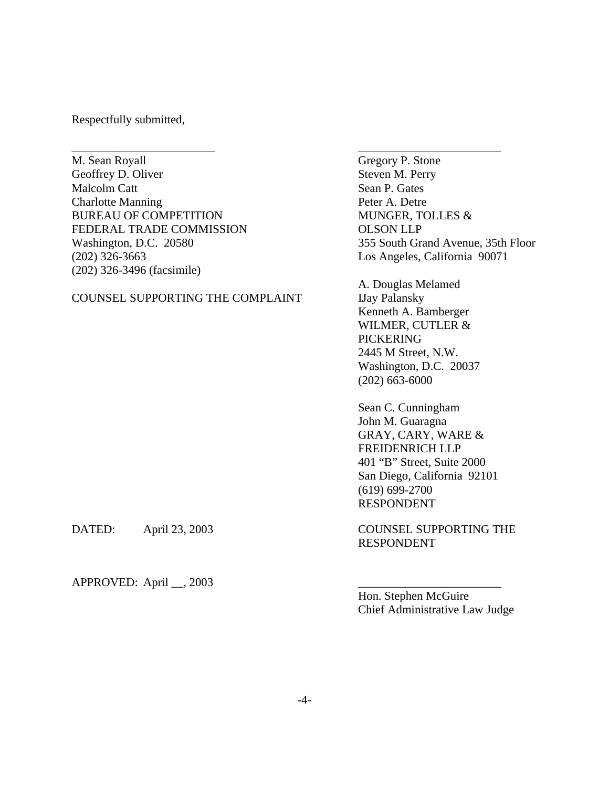Respectfully submitted,

M. Sean Royall Gregory P. Stone Geoffrey D. Oliver Steven M. Perry Malcolm Catt Sean P. Gates Charlotte Manning Peter A. Detre BUREAU OF COMPETITION MUNGER, TOLLES & FEDERAL TRADE COMMISSION OLSON LLP Washington, D.C. 20580 355 South Grand Avenue, 35th Floor (202) 326-3663 Los Angeles, California 90071 (202) 326-3496 (facsimile)

### COUNSEL SUPPORTING THE COMPLAINT IJay Palansky

A. Douglas Melamed Kenneth A. Bamberger WILMER, CUTLER & PICKERING 2445 M Street, N.W. Washington, D.C. 20037 (202) 663-6000

Sean C. Cunningham John M. Guaragna GRAY, CARY, WARE & FREIDENRICH LLP 401 "B" Street, Suite 2000 San Diego, California 92101 (619) 699-2700 RESPONDENT

DATED: April 23, 2003 COUNSEL SUPPORTING THE RESPONDENT

 $APPROVED: April _ 2003$ 

Hon. Stephen McGuire Chief Administrative Law Judge

\_\_\_\_\_\_\_\_\_\_\_\_\_\_\_\_\_\_\_\_\_\_\_\_ \_\_\_\_\_\_\_\_\_\_\_\_\_\_\_\_\_\_\_\_\_\_\_\_